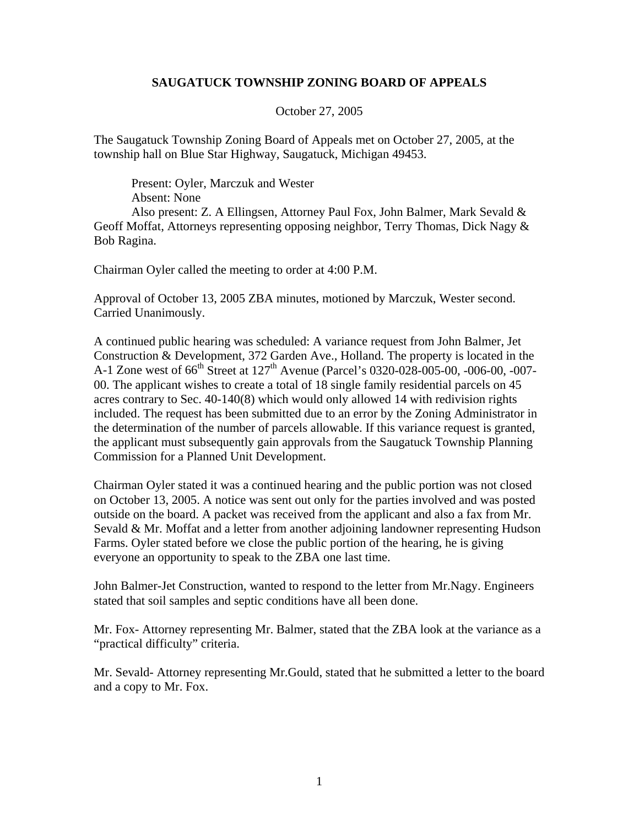## **SAUGATUCK TOWNSHIP ZONING BOARD OF APPEALS**

October 27, 2005

The Saugatuck Township Zoning Board of Appeals met on October 27, 2005, at the township hall on Blue Star Highway, Saugatuck, Michigan 49453.

Present: Oyler, Marczuk and Wester Absent: None Also present: Z. A Ellingsen, Attorney Paul Fox, John Balmer, Mark Sevald & Geoff Moffat, Attorneys representing opposing neighbor, Terry Thomas, Dick Nagy & Bob Ragina.

Chairman Oyler called the meeting to order at 4:00 P.M.

Approval of October 13, 2005 ZBA minutes, motioned by Marczuk, Wester second. Carried Unanimously.

A continued public hearing was scheduled: A variance request from John Balmer, Jet Construction & Development, 372 Garden Ave., Holland. The property is located in the A-1 Zone west of  $66^{th}$  Street at  $127^{th}$  Avenue (Parcel's 0320-028-005-00, -006-00, -007-00. The applicant wishes to create a total of 18 single family residential parcels on 45 acres contrary to Sec. 40-140(8) which would only allowed 14 with redivision rights included. The request has been submitted due to an error by the Zoning Administrator in the determination of the number of parcels allowable. If this variance request is granted, the applicant must subsequently gain approvals from the Saugatuck Township Planning Commission for a Planned Unit Development.

Chairman Oyler stated it was a continued hearing and the public portion was not closed on October 13, 2005. A notice was sent out only for the parties involved and was posted outside on the board. A packet was received from the applicant and also a fax from Mr. Sevald & Mr. Moffat and a letter from another adjoining landowner representing Hudson Farms. Oyler stated before we close the public portion of the hearing, he is giving everyone an opportunity to speak to the ZBA one last time.

John Balmer-Jet Construction, wanted to respond to the letter from Mr.Nagy. Engineers stated that soil samples and septic conditions have all been done.

Mr. Fox- Attorney representing Mr. Balmer, stated that the ZBA look at the variance as a "practical difficulty" criteria.

Mr. Sevald- Attorney representing Mr.Gould, stated that he submitted a letter to the board and a copy to Mr. Fox.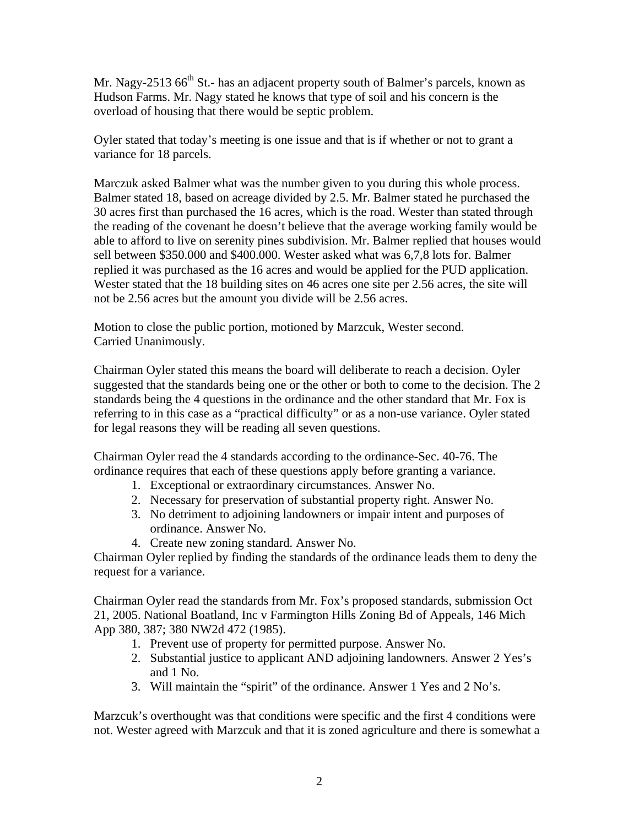Mr. Nagy-2513  $66<sup>th</sup>$  St.- has an adjacent property south of Balmer's parcels, known as Hudson Farms. Mr. Nagy stated he knows that type of soil and his concern is the overload of housing that there would be septic problem.

Oyler stated that today's meeting is one issue and that is if whether or not to grant a variance for 18 parcels.

Marczuk asked Balmer what was the number given to you during this whole process. Balmer stated 18, based on acreage divided by 2.5. Mr. Balmer stated he purchased the 30 acres first than purchased the 16 acres, which is the road. Wester than stated through the reading of the covenant he doesn't believe that the average working family would be able to afford to live on serenity pines subdivision. Mr. Balmer replied that houses would sell between \$350.000 and \$400.000. Wester asked what was 6,7,8 lots for. Balmer replied it was purchased as the 16 acres and would be applied for the PUD application. Wester stated that the 18 building sites on 46 acres one site per 2.56 acres, the site will not be 2.56 acres but the amount you divide will be 2.56 acres.

Motion to close the public portion, motioned by Marzcuk, Wester second. Carried Unanimously.

Chairman Oyler stated this means the board will deliberate to reach a decision. Oyler suggested that the standards being one or the other or both to come to the decision. The 2 standards being the 4 questions in the ordinance and the other standard that Mr. Fox is referring to in this case as a "practical difficulty" or as a non-use variance. Oyler stated for legal reasons they will be reading all seven questions.

Chairman Oyler read the 4 standards according to the ordinance-Sec. 40-76. The ordinance requires that each of these questions apply before granting a variance.

- 1. Exceptional or extraordinary circumstances. Answer No.
- 2. Necessary for preservation of substantial property right. Answer No.
- 3. No detriment to adjoining landowners or impair intent and purposes of ordinance. Answer No.
- 4. Create new zoning standard. Answer No.

Chairman Oyler replied by finding the standards of the ordinance leads them to deny the request for a variance.

Chairman Oyler read the standards from Mr. Fox's proposed standards, submission Oct 21, 2005. National Boatland, Inc v Farmington Hills Zoning Bd of Appeals, 146 Mich App 380, 387; 380 NW2d 472 (1985).

- 1. Prevent use of property for permitted purpose. Answer No.
- 2. Substantial justice to applicant AND adjoining landowners. Answer 2 Yes's and 1 No.
- 3. Will maintain the "spirit" of the ordinance. Answer 1 Yes and 2 No's.

Marzcuk's overthought was that conditions were specific and the first 4 conditions were not. Wester agreed with Marzcuk and that it is zoned agriculture and there is somewhat a